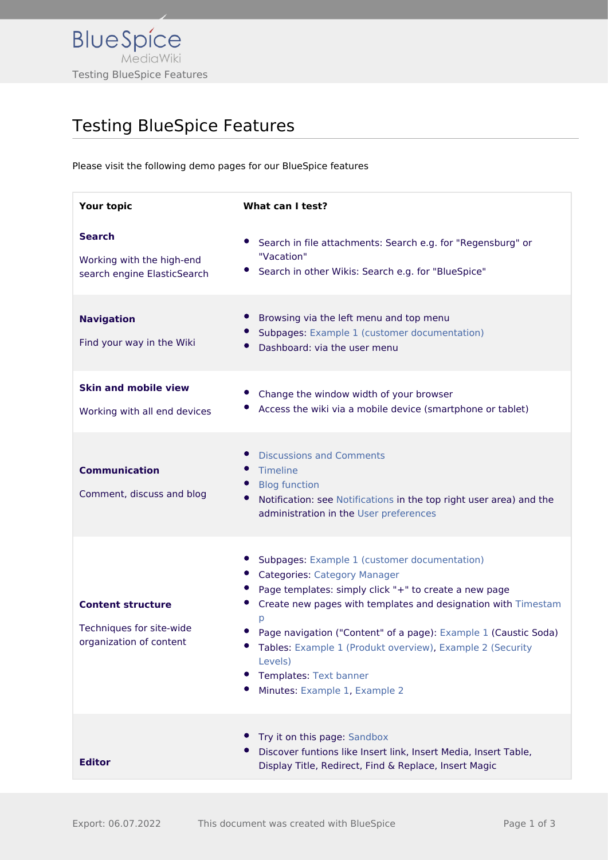

## Testing BlueSpice Features

Please visit the following demo pages for our BlueSpice features

| Your topic                                                                      | What can I test?                                                                                                                                                                                                                                                                                                                                                                                                         |
|---------------------------------------------------------------------------------|--------------------------------------------------------------------------------------------------------------------------------------------------------------------------------------------------------------------------------------------------------------------------------------------------------------------------------------------------------------------------------------------------------------------------|
| <b>Search</b><br>Working with the high-end<br>search engine ElasticSearch       | Search in file attachments: Search e.g. for "Regensburg" or<br>"Vacation"<br>Search in other Wikis: Search e.g. for "BlueSpice"                                                                                                                                                                                                                                                                                          |
| <b>Navigation</b><br>Find your way in the Wiki                                  | Browsing via the left menu and top menu<br>Subpages: Example 1 (customer documentation)<br>Dashboard: via the user menu                                                                                                                                                                                                                                                                                                  |
| <b>Skin and mobile view</b><br>Working with all end devices                     | Change the window width of your browser<br>Access the wiki via a mobile device (smartphone or tablet)                                                                                                                                                                                                                                                                                                                    |
| <b>Communication</b><br>Comment, discuss and blog                               | <b>Discussions and Comments</b><br>Timeline<br><b>Blog function</b><br>Notification: see Notifications in the top right user area) and the<br>administration in the User preferences                                                                                                                                                                                                                                     |
| <b>Content structure</b><br>Techniques for site-wide<br>organization of content | Subpages: Example 1 (customer documentation)<br><b>Categories: Category Manager</b><br>Page templates: simply click "+" to create a new page<br>Create new pages with templates and designation with Timestam<br>p<br>Page navigation ("Content" of a page): Example 1 (Caustic Soda)<br>Tables: Example 1 (Produkt overview), Example 2 (Security<br>Levels)<br>Templates: Text banner<br>Minutes: Example 1, Example 2 |
| <b>Editor</b>                                                                   | Try it on this page: Sandbox<br>Discover funtions like Insert link, Insert Media, Insert Table,<br>Display Title, Redirect, Find & Replace, Insert Magic                                                                                                                                                                                                                                                                 |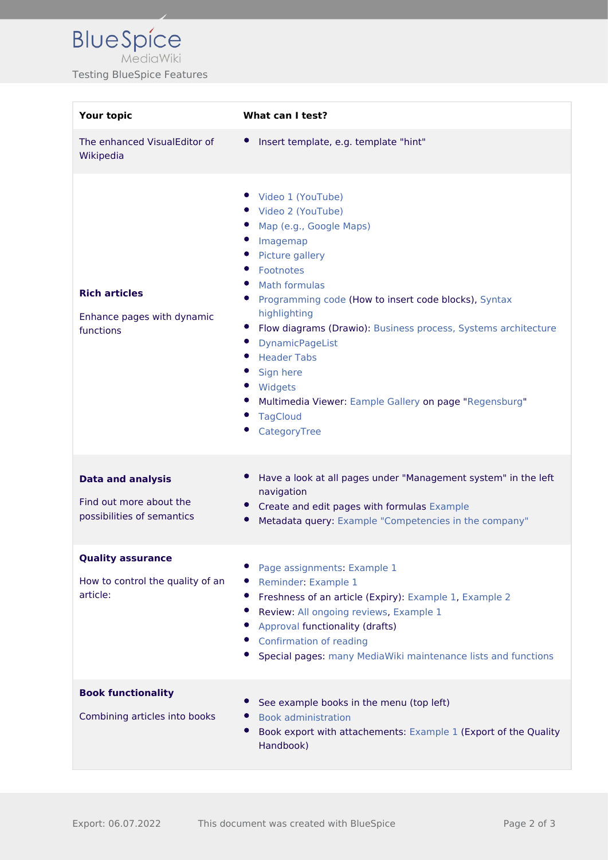| <b>Your topic</b>                                                                 | What can I test?                                                                                                                                                                                                                                                                                                                                                                                                                                                          |
|-----------------------------------------------------------------------------------|---------------------------------------------------------------------------------------------------------------------------------------------------------------------------------------------------------------------------------------------------------------------------------------------------------------------------------------------------------------------------------------------------------------------------------------------------------------------------|
| The enhanced VisualEditor of<br>Wikipedia                                         | Insert template, e.g. template "hint"<br>$\bullet$                                                                                                                                                                                                                                                                                                                                                                                                                        |
| <b>Rich articles</b><br>Enhance pages with dynamic<br>functions                   | Video 1 (YouTube)<br>• Video 2 (YouTube)<br>Map (e.g., Google Maps)<br>Imagemap<br>$\bullet$<br>Picture gallery<br>Footnotes<br>Math formulas<br>Programming code (How to insert code blocks), Syntax<br>highlighting<br>Flow diagrams (Drawio): Business process, Systems architecture<br>$\bullet$<br><b>DynamicPageList</b><br><b>Header Tabs</b><br>Sign here<br>Widgets<br>Multimedia Viewer: Eample Gallery on page "Regensburg"<br><b>TagCloud</b><br>CategoryTree |
| <b>Data and analysis</b><br>Find out more about the<br>possibilities of semantics | Have a look at all pages under "Management system" in the left<br>navigation<br>Create and edit pages with formulas Example<br>Metadata query: Example "Competencies in the company"                                                                                                                                                                                                                                                                                      |
| <b>Quality assurance</b><br>How to control the quality of an<br>article:          | Page assignments: Example 1<br>Reminder: Example 1<br>Freshness of an article (Expiry): Example 1, Example 2<br>Review: All ongoing reviews, Example 1<br>Approval functionality (drafts)<br>Confirmation of reading<br>Special pages: many MediaWiki maintenance lists and functions                                                                                                                                                                                     |
| <b>Book functionality</b><br>Combining articles into books                        | See example books in the menu (top left)<br><b>Book administration</b><br>Book export with attachements: Example 1 (Export of the Quality<br>Handbook)                                                                                                                                                                                                                                                                                                                    |